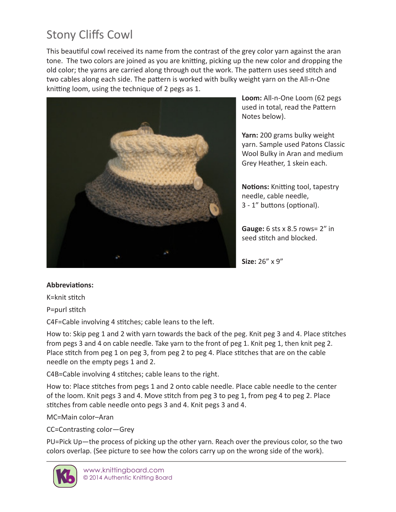## Stony Cliffs Cowl

This beautiful cowl received its name from the contrast of the grey color yarn against the aran tone. The two colors are joined as you are knitting, picking up the new color and dropping the old color; the yarns are carried along through out the work. The pattern uses seed stitch and two cables along each side. The pattern is worked with bulky weight yarn on the All-n-One knitting loom, using the technique of 2 pegs as 1.



**Loom:** All-n-One Loom (62 pegs used in total, read the Pattern Notes below).

**Yarn:** 200 grams bulky weight yarn. Sample used Patons Classic Wool Bulky in Aran and medium Grey Heather, 1 skein each.

**Notions:** Knitting tool, tapestry needle, cable needle, 3 - 1" buttons (optional).

**Gauge:** 6 sts x 8.5 rows= 2″ in seed stitch and blocked.

**Size:** 26" x 9"

## **Abbreviations:**

K=knit stitch

P=purl stitch

C4F=Cable involving 4 stitches; cable leans to the left.

How to: Skip peg 1 and 2 with yarn towards the back of the peg. Knit peg 3 and 4. Place stitches from pegs 3 and 4 on cable needle. Take yarn to the front of peg 1. Knit peg 1, then knit peg 2. Place stitch from peg 1 on peg 3, from peg 2 to peg 4. Place stitches that are on the cable needle on the empty pegs 1 and 2.

C4B=Cable involving 4 stitches; cable leans to the right.

How to: Place stitches from pegs 1 and 2 onto cable needle. Place cable needle to the center of the loom. Knit pegs 3 and 4. Move stitch from peg 3 to peg 1, from peg 4 to peg 2. Place stitches from cable needle onto pegs 3 and 4. Knit pegs 3 and 4.

MC=Main color–Aran

CC=Contrasting color—Grey

PU=Pick Up—the process of picking up the other yarn. Reach over the previous color, so the two colors overlap. (See picture to see how the colors carry up on the wrong side of the work).